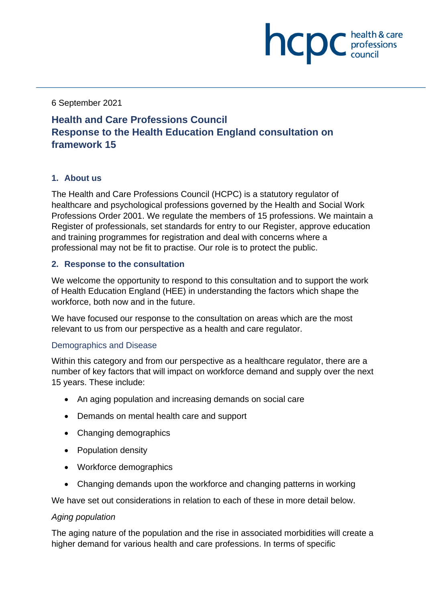6 September 2021

# **Health and Care Professions Council Response to the Health Education England consultation on framework 15**

# **1. About us**

The Health and Care Professions Council (HCPC) is a statutory regulator of healthcare and psychological professions governed by the Health and Social Work Professions Order 2001. We regulate the members of 15 professions. We maintain a Register of professionals, set standards for entry to our Register, approve education and training programmes for registration and deal with concerns where a professional may not be fit to practise. Our role is to protect the public.

**NCDC** *c health* & care

## **2. Response to the consultation**

We welcome the opportunity to respond to this consultation and to support the work of Health Education England (HEE) in understanding the factors which shape the workforce, both now and in the future.

We have focused our response to the consultation on areas which are the most relevant to us from our perspective as a health and care regulator.

## Demographics and Disease

Within this category and from our perspective as a healthcare regulator, there are a number of key factors that will impact on workforce demand and supply over the next 15 years. These include:

- An aging population and increasing demands on social care
- Demands on mental health care and support
- Changing demographics
- Population density
- Workforce demographics
- Changing demands upon the workforce and changing patterns in working

We have set out considerations in relation to each of these in more detail below.

## *Aging population*

The aging nature of the population and the rise in associated morbidities will create a higher demand for various health and care professions. In terms of specific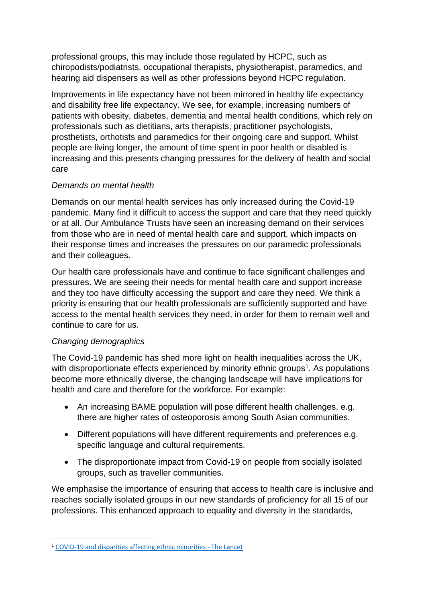professional groups, this may include those regulated by HCPC, such as chiropodists/podiatrists, occupational therapists, physiotherapist, paramedics, and hearing aid dispensers as well as other professions beyond HCPC regulation.

Improvements in life expectancy have not been mirrored in healthy life expectancy and disability free life expectancy. We see, for example, increasing numbers of patients with obesity, diabetes, dementia and mental health conditions, which rely on professionals such as dietitians, arts therapists, practitioner psychologists, prosthetists, orthotists and paramedics for their ongoing care and support. Whilst people are living longer, the amount of time spent in poor health or disabled is increasing and this presents changing pressures for the delivery of health and social care

## *Demands on mental health*

Demands on our mental health services has only increased during the Covid-19 pandemic. Many find it difficult to access the support and care that they need quickly or at all. Our Ambulance Trusts have seen an increasing demand on their services from those who are in need of mental health care and support, which impacts on their response times and increases the pressures on our paramedic professionals and their colleagues.

Our health care professionals have and continue to face significant challenges and pressures. We are seeing their needs for mental health care and support increase and they too have difficulty accessing the support and care they need. We think a priority is ensuring that our health professionals are sufficiently supported and have access to the mental health services they need, in order for them to remain well and continue to care for us.

# *Changing demographics*

The Covid-19 pandemic has shed more light on health inequalities across the UK, with disproportionate effects experienced by minority ethnic groups<sup>1</sup>. As populations become more ethnically diverse, the changing landscape will have implications for health and care and therefore for the workforce. For example:

- An increasing BAME population will pose different health challenges, e.g. there are higher rates of osteoporosis among South Asian communities.
- Different populations will have different requirements and preferences e.g. specific language and cultural requirements.
- The disproportionate impact from Covid-19 on people from socially isolated groups, such as traveller communities.

We emphasise the importance of ensuring that access to health care is inclusive and reaches socially isolated groups in our new standards of proficiency for all 15 of our professions. This enhanced approach to equality and diversity in the standards,

<sup>1</sup> [COVID-19 and disparities affecting ethnic minorities -](https://www.thelancet.com/journals/lancet/article/PIIS0140-6736(21)00949-1/fulltext) The Lancet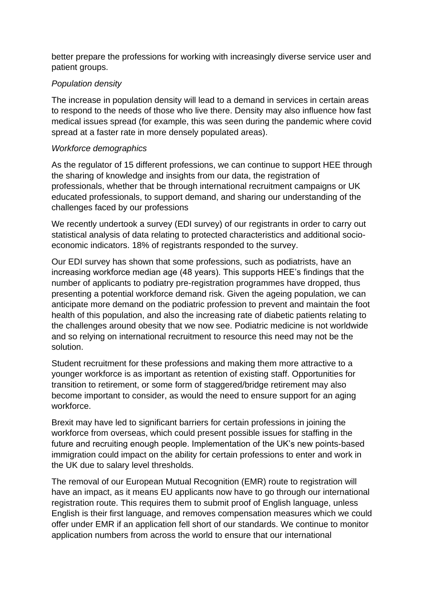better prepare the professions for working with increasingly diverse service user and patient groups.

## *Population density*

The increase in population density will lead to a demand in services in certain areas to respond to the needs of those who live there. Density may also influence how fast medical issues spread (for example, this was seen during the pandemic where covid spread at a faster rate in more densely populated areas).

## *Workforce demographics*

As the regulator of 15 different professions, we can continue to support HEE through the sharing of knowledge and insights from our data, the registration of professionals, whether that be through international recruitment campaigns or UK educated professionals, to support demand, and sharing our understanding of the challenges faced by our professions

We recently undertook a survey (EDI survey) of our registrants in order to carry out statistical analysis of data relating to protected characteristics and additional socioeconomic indicators. 18% of registrants responded to the survey.

Our EDI survey has shown that some professions, such as podiatrists, have an increasing workforce median age (48 years). This supports HEE's findings that the number of applicants to podiatry pre-registration programmes have dropped, thus presenting a potential workforce demand risk. Given the ageing population, we can anticipate more demand on the podiatric profession to prevent and maintain the foot health of this population, and also the increasing rate of diabetic patients relating to the challenges around obesity that we now see. Podiatric medicine is not worldwide and so relying on international recruitment to resource this need may not be the solution.

Student recruitment for these professions and making them more attractive to a younger workforce is as important as retention of existing staff. Opportunities for transition to retirement, or some form of staggered/bridge retirement may also become important to consider, as would the need to ensure support for an aging workforce.

Brexit may have led to significant barriers for certain professions in joining the workforce from overseas, which could present possible issues for staffing in the future and recruiting enough people. Implementation of the UK's new points-based immigration could impact on the ability for certain professions to enter and work in the UK due to salary level thresholds.

The removal of our European Mutual Recognition (EMR) route to registration will have an impact, as it means EU applicants now have to go through our international registration route. This requires them to submit proof of English language, unless English is their first language, and removes compensation measures which we could offer under EMR if an application fell short of our standards. We continue to monitor application numbers from across the world to ensure that our international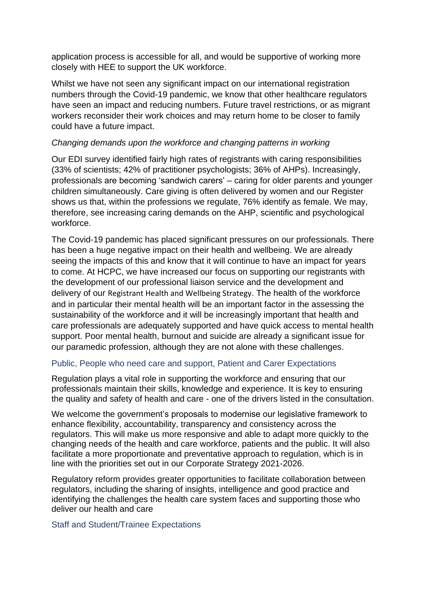application process is accessible for all, and would be supportive of working more closely with HEE to support the UK workforce.

Whilst we have not seen any significant impact on our international registration numbers through the Covid-19 pandemic, we know that other healthcare regulators have seen an impact and reducing numbers. Future travel restrictions, or as migrant workers reconsider their work choices and may return home to be closer to family could have a future impact.

## *Changing demands upon the workforce and changing patterns in working*

Our EDI survey identified fairly high rates of registrants with caring responsibilities (33% of scientists; 42% of practitioner psychologists; 36% of AHPs). Increasingly, professionals are becoming 'sandwich carers' – caring for older parents and younger children simultaneously. Care giving is often delivered by women and our Register shows us that, within the professions we regulate, 76% identify as female. We may, therefore, see increasing caring demands on the AHP, scientific and psychological workforce.

The Covid-19 pandemic has placed significant pressures on our professionals. There has been a huge negative impact on their health and wellbeing. We are already seeing the impacts of this and know that it will continue to have an impact for years to come. At HCPC, we have increased our focus on supporting our registrants with the development of our professional liaison service and the development and delivery of our Registrant Health and Wellbeing Strategy. The health of the workforce and in particular their mental health will be an important factor in the assessing the sustainability of the workforce and it will be increasingly important that health and care professionals are adequately supported and have quick access to mental health support. Poor mental health, burnout and suicide are already a significant issue for our paramedic profession, although they are not alone with these challenges.

## Public, People who need care and support, Patient and Carer Expectations

Regulation plays a vital role in supporting the workforce and ensuring that our professionals maintain their skills, knowledge and experience. It is key to ensuring the quality and safety of health and care - one of the drivers listed in the consultation.

We welcome the government's proposals to modernise our legislative framework to enhance flexibility, accountability, transparency and consistency across the regulators. This will make us more responsive and able to adapt more quickly to the changing needs of the health and care workforce, patients and the public. It will also facilitate a more proportionate and preventative approach to regulation, which is in line with the priorities set out in our Corporate Strategy 2021-2026.

Regulatory reform provides greater opportunities to facilitate collaboration between regulators, including the sharing of insights, intelligence and good practice and identifying the challenges the health care system faces and supporting those who deliver our health and care

## Staff and Student/Trainee Expectations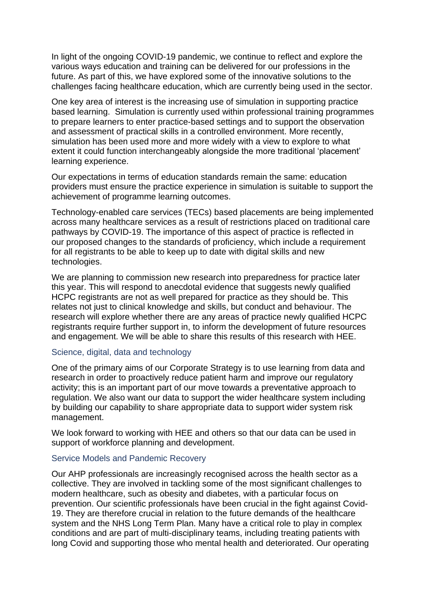In light of the ongoing COVID-19 pandemic, we continue to reflect and explore the various ways education and training can be delivered for our professions in the future. As part of this, we have explored some of the innovative solutions to the challenges facing healthcare education, which are currently being used in the sector.

One key area of interest is the increasing use of simulation in supporting practice based learning. Simulation is currently used within professional training programmes to prepare learners to enter practice-based settings and to support the observation and assessment of practical skills in a controlled environment. More recently, simulation has been used more and more widely with a view to explore to what extent it could function interchangeably alongside the more traditional 'placement' learning experience.

Our expectations in terms of education standards remain the same: education providers must ensure the practice experience in simulation is suitable to support the achievement of programme learning outcomes.

Technology-enabled care services (TECs) based placements are being implemented across many healthcare services as a result of restrictions placed on traditional care pathways by COVID-19. The importance of this aspect of practice is reflected in our [proposed changes to the standards of proficiency,](https://www.hcpc-uk.org/news-and-events/consultations/2020/consultation-on-the-standards-of-proficiency/) which include a requirement for all registrants to be able to keep up to date with digital skills and new technologies.

We are planning to commission new research into preparedness for practice later this year. This will respond to anecdotal evidence that suggests newly qualified HCPC registrants are not as well prepared for practice as they should be. This relates not just to clinical knowledge and skills, but conduct and behaviour. The research will explore whether there are any areas of practice newly qualified HCPC registrants require further support in, to inform the development of future resources and engagement. We will be able to share this results of this research with HEE.

#### Science, digital, data and technology

One of the primary aims of our Corporate Strategy is to use learning from data and research in order to proactively reduce patient harm and improve our regulatory activity; this is an important part of our move towards a preventative approach to regulation. We also want our data to support the wider healthcare system including by building our capability to share appropriate data to support wider system risk management.

We look forward to working with HEE and others so that our data can be used in support of workforce planning and development.

#### Service Models and Pandemic Recovery

Our AHP professionals are increasingly recognised across the health sector as a collective. They are involved in tackling some of the most significant challenges to modern healthcare, such as obesity and diabetes, with a particular focus on prevention. Our scientific professionals have been crucial in the fight against Covid-19. They are therefore crucial in relation to the future demands of the healthcare system and the NHS Long Term Plan. Many have a critical role to play in complex conditions and are part of multi-disciplinary teams, including treating patients with long Covid and supporting those who mental health and deteriorated. Our operating